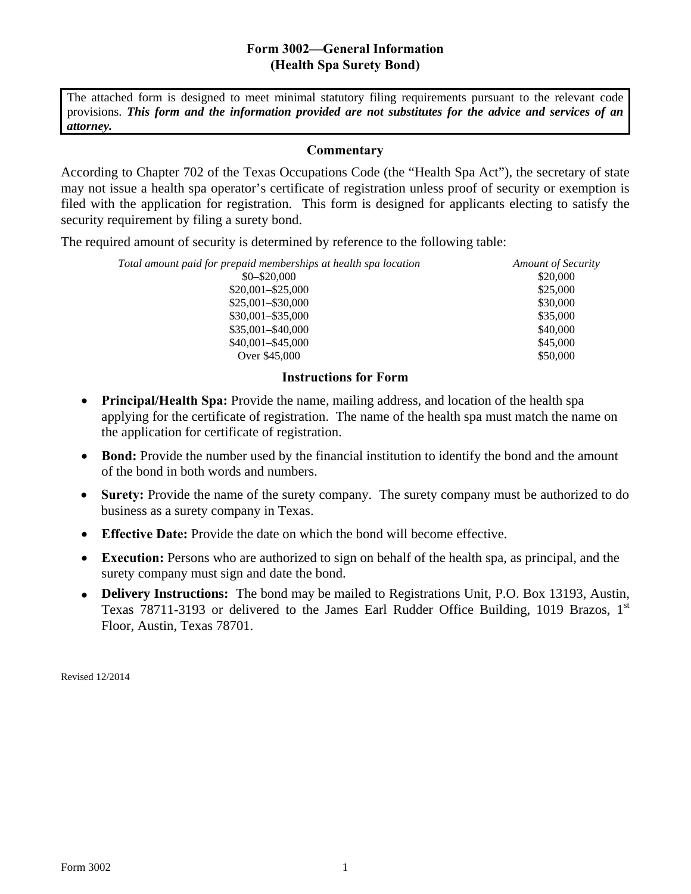## **Form 3002—General Information (Health Spa Surety Bond)**

The attached form is designed to meet minimal statutory filing requirements pursuant to the relevant code provisions. *This form and the information provided are not substitutes for the advice and services of an attorney.*

## **Commentary**

According to Chapter 702 of the Texas Occupations Code (the "Health Spa Act"), the secretary of state may not issue a health spa operator's certificate of registration unless proof of security or exemption is filed with the application for registration. This form is designed for applicants electing to satisfy the security requirement by filing a surety bond.

The required amount of security is determined by reference to the following table:

| Total amount paid for prepaid memberships at health spa location | <b>Amount of Security</b> |
|------------------------------------------------------------------|---------------------------|
| $$0 - $20,000$                                                   | \$20,000                  |
| $$20,001 - $25,000$                                              | \$25,000                  |
| $$25,001 - $30,000$                                              | \$30,000                  |
| $$30,001 - $35,000$                                              | \$35,000                  |
| $$35,001 - $40,000$                                              | \$40,000                  |
| $$40,001 - $45,000$                                              | \$45,000                  |
| Over \$45,000                                                    | \$50,000                  |

## **Instructions for Form**

- **Principal/Health Spa:** Provide the name, mailing address, and location of the health spa applying for the certificate of registration. The name of the health spa must match the name on the application for certificate of registration.
- **Bond:** Provide the number used by the financial institution to identify the bond and the amount of the bond in both words and numbers.
- **Surety:** Provide the name of the surety company. The surety company must be authorized to do business as a surety company in Texas.
- **Effective Date:** Provide the date on which the bond will become effective.
- **Execution:** Persons who are authorized to sign on behalf of the health spa, as principal, and the surety company must sign and date the bond.
- **Delivery Instructions:** The bond may be mailed to Registrations Unit, P.O. Box 13193, Austin, Texas 78711-3193 or delivered to the James Earl Rudder Office Building, 1019 Brazos,  $1<sup>st</sup>$ Floor, Austin, Texas 78701.

Revised 12/2014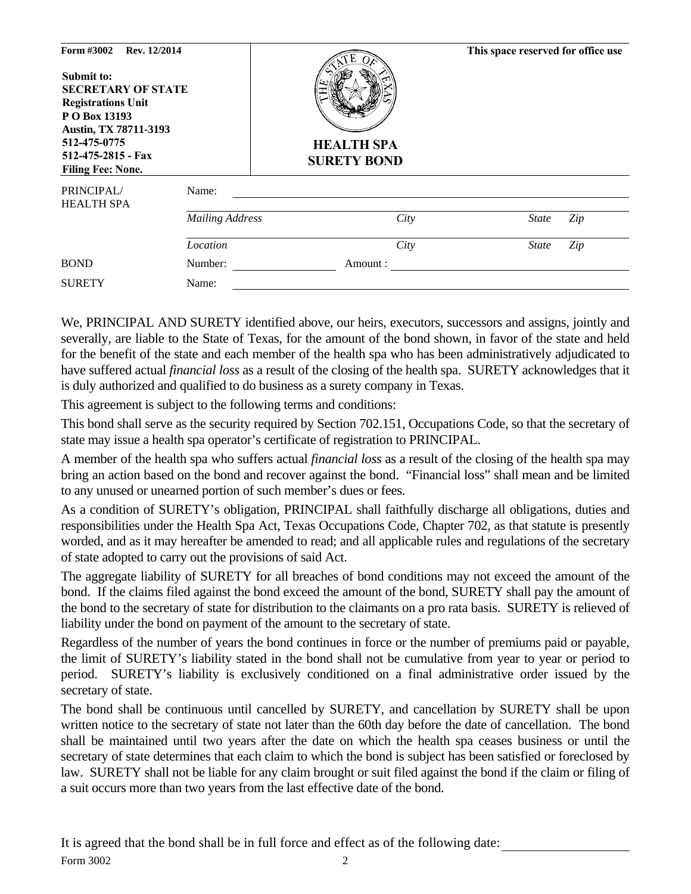| Form #3002<br>Rev. 12/2014<br>Submit to:<br><b>SECRETARY OF STATE</b><br><b>Registrations Unit</b><br>P O Box 13193<br>Austin, TX 78711-3193<br>512-475-0775<br>512-475-2815 - Fax<br><b>Filing Fee: None.</b> |                        | <b>HEALTH SPA</b><br><b>SURETY BOND</b> | This space reserved for office use |
|----------------------------------------------------------------------------------------------------------------------------------------------------------------------------------------------------------------|------------------------|-----------------------------------------|------------------------------------|
| PRINCIPAL/<br><b>HEALTH SPA</b>                                                                                                                                                                                | Name:                  |                                         |                                    |
|                                                                                                                                                                                                                | <b>Mailing Address</b> | City                                    | <b>State</b><br>Zip                |
|                                                                                                                                                                                                                | Location               | City                                    | Zip<br><b>State</b>                |
| <b>BOND</b>                                                                                                                                                                                                    | Number:                | Amount:                                 |                                    |
| <b>SURETY</b>                                                                                                                                                                                                  | Name:                  |                                         |                                    |

We, PRINCIPAL AND SURETY identified above, our heirs, executors, successors and assigns, jointly and severally, are liable to the State of Texas, for the amount of the bond shown, in favor of the state and held for the benefit of the state and each member of the health spa who has been administratively adjudicated to have suffered actual *financial loss* as a result of the closing of the health spa. SURETY acknowledges that it is duly authorized and qualified to do business as a surety company in Texas.

This agreement is subject to the following terms and conditions:

This bond shall serve as the security required by Section 702.151, Occupations Code, so that the secretary of state may issue a health spa operator's certificate of registration to PRINCIPAL.

A member of the health spa who suffers actual *financial loss* as a result of the closing of the health spa may bring an action based on the bond and recover against the bond. "Financial loss" shall mean and be limited to any unused or unearned portion of such member's dues or fees.

As a condition of SURETY's obligation, PRINCIPAL shall faithfully discharge all obligations, duties and responsibilities under the Health Spa Act, Texas Occupations Code, Chapter 702, as that statute is presently worded, and as it may hereafter be amended to read; and all applicable rules and regulations of the secretary of state adopted to carry out the provisions of said Act.

The aggregate liability of SURETY for all breaches of bond conditions may not exceed the amount of the bond. If the claims filed against the bond exceed the amount of the bond, SURETY shall pay the amount of the bond to the secretary of state for distribution to the claimants on a pro rata basis. SURETY is relieved of liability under the bond on payment of the amount to the secretary of state.

Regardless of the number of years the bond continues in force or the number of premiums paid or payable, the limit of SURETY's liability stated in the bond shall not be cumulative from year to year or period to period. SURETY's liability is exclusively conditioned on a final administrative order issued by the secretary of state.

The bond shall be continuous until cancelled by SURETY, and cancellation by SURETY shall be upon written notice to the secretary of state not later than the 60th day before the date of cancellation. The bond shall be maintained until two years after the date on which the health spa ceases business or until the secretary of state determines that each claim to which the bond is subject has been satisfied or foreclosed by law. SURETY shall not be liable for any claim brought or suit filed against the bond if the claim or filing of a suit occurs more than two years from the last effective date of the bond.

Form 3002 2 It is agreed that the bond shall be in full force and effect as of the following date: